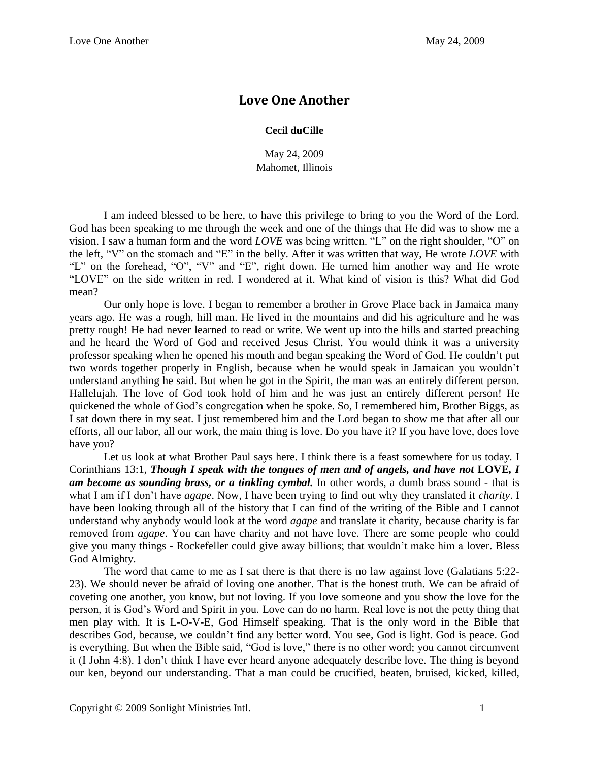## **Love One Another**

## **Cecil duCille**

May 24, 2009 Mahomet, Illinois

I am indeed blessed to be here, to have this privilege to bring to you the Word of the Lord. God has been speaking to me through the week and one of the things that He did was to show me a vision. I saw a human form and the word *LOVE* was being written. "L" on the right shoulder, "O" on the left, "V" on the stomach and "E" in the belly. After it was written that way, He wrote *LOVE* with "L" on the forehead, "O", "V" and "E", right down. He turned him another way and He wrote "LOVE" on the side written in red. I wondered at it. What kind of vision is this? What did God mean?

Our only hope is love. I began to remember a brother in Grove Place back in Jamaica many years ago. He was a rough, hill man. He lived in the mountains and did his agriculture and he was pretty rough! He had never learned to read or write. We went up into the hills and started preaching and he heard the Word of God and received Jesus Christ. You would think it was a university professor speaking when he opened his mouth and began speaking the Word of God. He couldn't put two words together properly in English, because when he would speak in Jamaican you wouldn't understand anything he said. But when he got in the Spirit, the man was an entirely different person. Hallelujah. The love of God took hold of him and he was just an entirely different person! He quickened the whole of God's congregation when he spoke. So, I remembered him, Brother Biggs, as I sat down there in my seat. I just remembered him and the Lord began to show me that after all our efforts, all our labor, all our work, the main thing is love. Do you have it? If you have love, does love have you?

Let us look at what Brother Paul says here. I think there is a feast somewhere for us today. I Corinthians 13:1, *Though I speak with the tongues of men and of angels, and have not* **LOVE***, I am become as sounding brass, or a tinkling cymbal.* In other words, a dumb brass sound - that is what I am if I don't have *agape*. Now, I have been trying to find out why they translated it *charity*. I have been looking through all of the history that I can find of the writing of the Bible and I cannot understand why anybody would look at the word *agape* and translate it charity, because charity is far removed from *agape*. You can have charity and not have love. There are some people who could give you many things - Rockefeller could give away billions; that wouldn't make him a lover. Bless God Almighty.

The word that came to me as I sat there is that there is no law against love (Galatians 5:22- 23). We should never be afraid of loving one another. That is the honest truth. We can be afraid of coveting one another, you know, but not loving. If you love someone and you show the love for the person, it is God's Word and Spirit in you. Love can do no harm. Real love is not the petty thing that men play with. It is L-O-V-E, God Himself speaking. That is the only word in the Bible that describes God, because, we couldn't find any better word. You see, God is light. God is peace. God is everything. But when the Bible said, "God is love," there is no other word; you cannot circumvent it (I John 4:8). I don't think I have ever heard anyone adequately describe love. The thing is beyond our ken, beyond our understanding. That a man could be crucified, beaten, bruised, kicked, killed,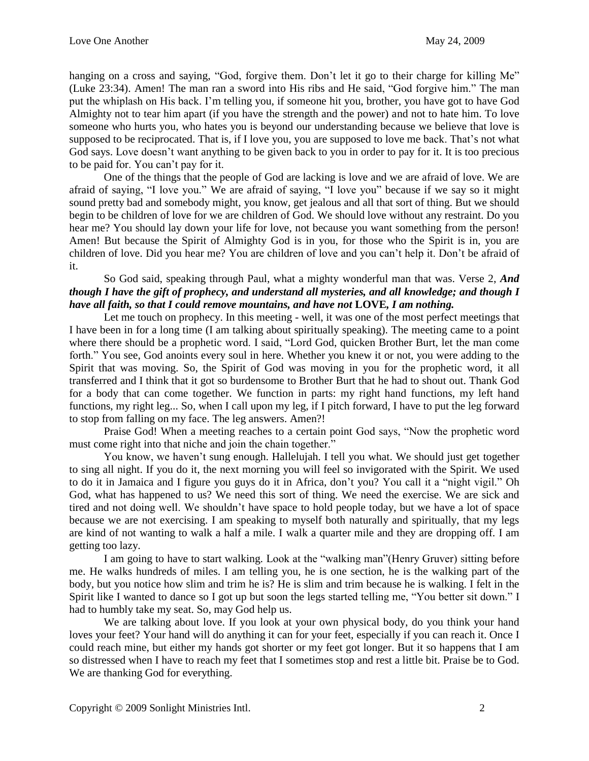hanging on a cross and saying, "God, forgive them. Don't let it go to their charge for killing Me" (Luke 23:34). Amen! The man ran a sword into His ribs and He said, "God forgive him." The man put the whiplash on His back. I'm telling you, if someone hit you, brother, you have got to have God Almighty not to tear him apart (if you have the strength and the power) and not to hate him. To love someone who hurts you, who hates you is beyond our understanding because we believe that love is supposed to be reciprocated. That is, if I love you, you are supposed to love me back. That's not what God says. Love doesn't want anything to be given back to you in order to pay for it. It is too precious to be paid for. You can't pay for it.

One of the things that the people of God are lacking is love and we are afraid of love. We are afraid of saying, "I love you." We are afraid of saying, "I love you" because if we say so it might sound pretty bad and somebody might, you know, get jealous and all that sort of thing. But we should begin to be children of love for we are children of God. We should love without any restraint. Do you hear me? You should lay down your life for love, not because you want something from the person! Amen! But because the Spirit of Almighty God is in you, for those who the Spirit is in, you are children of love. Did you hear me? You are children of love and you can't help it. Don't be afraid of it.

## So God said, speaking through Paul, what a mighty wonderful man that was. Verse 2, *And though I have the gift of prophecy, and understand all mysteries, and all knowledge; and though I have all faith, so that I could remove mountains, and have not* **LOVE***, I am nothing.*

Let me touch on prophecy. In this meeting - well, it was one of the most perfect meetings that I have been in for a long time (I am talking about spiritually speaking). The meeting came to a point where there should be a prophetic word. I said, "Lord God, quicken Brother Burt, let the man come forth." You see, God anoints every soul in here. Whether you knew it or not, you were adding to the Spirit that was moving. So, the Spirit of God was moving in you for the prophetic word, it all transferred and I think that it got so burdensome to Brother Burt that he had to shout out. Thank God for a body that can come together. We function in parts: my right hand functions, my left hand functions, my right leg... So, when I call upon my leg, if I pitch forward, I have to put the leg forward to stop from falling on my face. The leg answers. Amen?!

Praise God! When a meeting reaches to a certain point God says, "Now the prophetic word must come right into that niche and join the chain together."

You know, we haven't sung enough. Hallelujah. I tell you what. We should just get together to sing all night. If you do it, the next morning you will feel so invigorated with the Spirit. We used to do it in Jamaica and I figure you guys do it in Africa, don't you? You call it a "night vigil." Oh God, what has happened to us? We need this sort of thing. We need the exercise. We are sick and tired and not doing well. We shouldn't have space to hold people today, but we have a lot of space because we are not exercising. I am speaking to myself both naturally and spiritually, that my legs are kind of not wanting to walk a half a mile. I walk a quarter mile and they are dropping off. I am getting too lazy.

I am going to have to start walking. Look at the "walking man"(Henry Gruver) sitting before me. He walks hundreds of miles. I am telling you, he is one section, he is the walking part of the body, but you notice how slim and trim he is? He is slim and trim because he is walking. I felt in the Spirit like I wanted to dance so I got up but soon the legs started telling me, "You better sit down." I had to humbly take my seat. So, may God help us.

We are talking about love. If you look at your own physical body, do you think your hand loves your feet? Your hand will do anything it can for your feet, especially if you can reach it. Once I could reach mine, but either my hands got shorter or my feet got longer. But it so happens that I am so distressed when I have to reach my feet that I sometimes stop and rest a little bit. Praise be to God. We are thanking God for everything.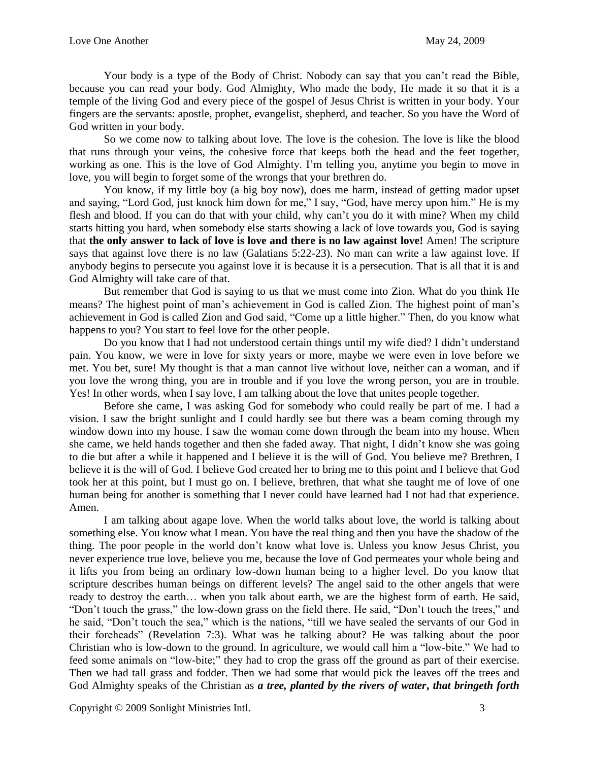Your body is a type of the Body of Christ. Nobody can say that you can't read the Bible, because you can read your body. God Almighty, Who made the body, He made it so that it is a temple of the living God and every piece of the gospel of Jesus Christ is written in your body. Your fingers are the servants: apostle, prophet, evangelist, shepherd, and teacher. So you have the Word of God written in your body.

So we come now to talking about love. The love is the cohesion. The love is like the blood that runs through your veins, the cohesive force that keeps both the head and the feet together, working as one. This is the love of God Almighty. I'm telling you, anytime you begin to move in love, you will begin to forget some of the wrongs that your brethren do.

You know, if my little boy (a big boy now), does me harm, instead of getting mador upset and saying, "Lord God, just knock him down for me," I say, "God, have mercy upon him." He is my flesh and blood. If you can do that with your child, why can't you do it with mine? When my child starts hitting you hard, when somebody else starts showing a lack of love towards you, God is saying that **the only answer to lack of love is love and there is no law against love!** Amen! The scripture says that against love there is no law (Galatians 5:22-23). No man can write a law against love. If anybody begins to persecute you against love it is because it is a persecution. That is all that it is and God Almighty will take care of that.

But remember that God is saying to us that we must come into Zion. What do you think He means? The highest point of man's achievement in God is called Zion. The highest point of man's achievement in God is called Zion and God said, "Come up a little higher." Then, do you know what happens to you? You start to feel love for the other people.

Do you know that I had not understood certain things until my wife died? I didn't understand pain. You know, we were in love for sixty years or more, maybe we were even in love before we met. You bet, sure! My thought is that a man cannot live without love, neither can a woman, and if you love the wrong thing, you are in trouble and if you love the wrong person, you are in trouble. Yes! In other words, when I say love, I am talking about the love that unites people together.

Before she came, I was asking God for somebody who could really be part of me. I had a vision. I saw the bright sunlight and I could hardly see but there was a beam coming through my window down into my house. I saw the woman come down through the beam into my house. When she came, we held hands together and then she faded away. That night, I didn't know she was going to die but after a while it happened and I believe it is the will of God. You believe me? Brethren, I believe it is the will of God. I believe God created her to bring me to this point and I believe that God took her at this point, but I must go on. I believe, brethren, that what she taught me of love of one human being for another is something that I never could have learned had I not had that experience. Amen.

I am talking about agape love. When the world talks about love, the world is talking about something else. You know what I mean. You have the real thing and then you have the shadow of the thing. The poor people in the world don't know what love is. Unless you know Jesus Christ, you never experience true love, believe you me, because the love of God permeates your whole being and it lifts you from being an ordinary low-down human being to a higher level. Do you know that scripture describes human beings on different levels? The angel said to the other angels that were ready to destroy the earth… when you talk about earth, we are the highest form of earth. He said, "Don't touch the grass," the low-down grass on the field there. He said, "Don't touch the trees," and he said, "Don't touch the sea," which is the nations, "till we have sealed the servants of our God in their foreheads" (Revelation 7:3). What was he talking about? He was talking about the poor Christian who is low-down to the ground. In agriculture, we would call him a "low-bite." We had to feed some animals on "low-bite;" they had to crop the grass off the ground as part of their exercise. Then we had tall grass and fodder. Then we had some that would pick the leaves off the trees and God Almighty speaks of the Christian as *a tree, planted by the rivers of water***,** *that bringeth forth*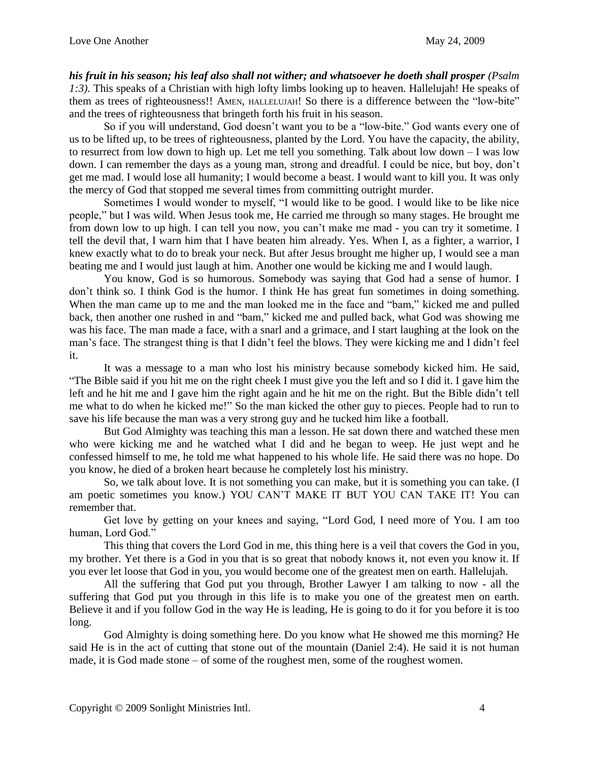*his fruit in his season; his leaf also shall not wither; and whatsoever he doeth shall prosper (Psalm 1:3).* This speaks of a Christian with high lofty limbs looking up to heaven. Hallelujah! He speaks of them as trees of righteousness!! AMEN, HALLELUJAH! So there is a difference between the "low-bite" and the trees of righteousness that bringeth forth his fruit in his season.

So if you will understand, God doesn't want you to be a "low-bite." God wants every one of us to be lifted up, to be trees of righteousness, planted by the Lord. You have the capacity, the ability, to resurrect from low down to high up. Let me tell you something. Talk about low down – I was low down. I can remember the days as a young man, strong and dreadful. I could be nice, but boy, don't get me mad. I would lose all humanity; I would become a beast. I would want to kill you. It was only the mercy of God that stopped me several times from committing outright murder.

Sometimes I would wonder to myself, "I would like to be good. I would like to be like nice people," but I was wild. When Jesus took me, He carried me through so many stages. He brought me from down low to up high. I can tell you now, you can't make me mad - you can try it sometime. I tell the devil that, I warn him that I have beaten him already. Yes. When I, as a fighter, a warrior, I knew exactly what to do to break your neck. But after Jesus brought me higher up, I would see a man beating me and I would just laugh at him. Another one would be kicking me and I would laugh.

You know, God is so humorous. Somebody was saying that God had a sense of humor. I don't think so. I think God is the humor. I think He has great fun sometimes in doing something. When the man came up to me and the man looked me in the face and "bam," kicked me and pulled back, then another one rushed in and "bam," kicked me and pulled back, what God was showing me was his face. The man made a face, with a snarl and a grimace, and I start laughing at the look on the man's face. The strangest thing is that I didn't feel the blows. They were kicking me and I didn't feel it.

It was a message to a man who lost his ministry because somebody kicked him. He said, "The Bible said if you hit me on the right cheek I must give you the left and so I did it. I gave him the left and he hit me and I gave him the right again and he hit me on the right. But the Bible didn't tell me what to do when he kicked me!" So the man kicked the other guy to pieces. People had to run to save his life because the man was a very strong guy and he tucked him like a football.

But God Almighty was teaching this man a lesson. He sat down there and watched these men who were kicking me and he watched what I did and he began to weep. He just wept and he confessed himself to me, he told me what happened to his whole life. He said there was no hope. Do you know, he died of a broken heart because he completely lost his ministry.

So, we talk about love. It is not something you can make, but it is something you can take. (I am poetic sometimes you know.) YOU CAN'T MAKE IT BUT YOU CAN TAKE IT! You can remember that.

Get love by getting on your knees and saying, "Lord God, I need more of You. I am too human, Lord God."

This thing that covers the Lord God in me, this thing here is a veil that covers the God in you, my brother. Yet there is a God in you that is so great that nobody knows it, not even you know it. If you ever let loose that God in you, you would become one of the greatest men on earth. Hallelujah.

All the suffering that God put you through, Brother Lawyer I am talking to now - all the suffering that God put you through in this life is to make you one of the greatest men on earth. Believe it and if you follow God in the way He is leading, He is going to do it for you before it is too long.

God Almighty is doing something here. Do you know what He showed me this morning? He said He is in the act of cutting that stone out of the mountain (Daniel 2:4). He said it is not human made, it is God made stone – of some of the roughest men, some of the roughest women.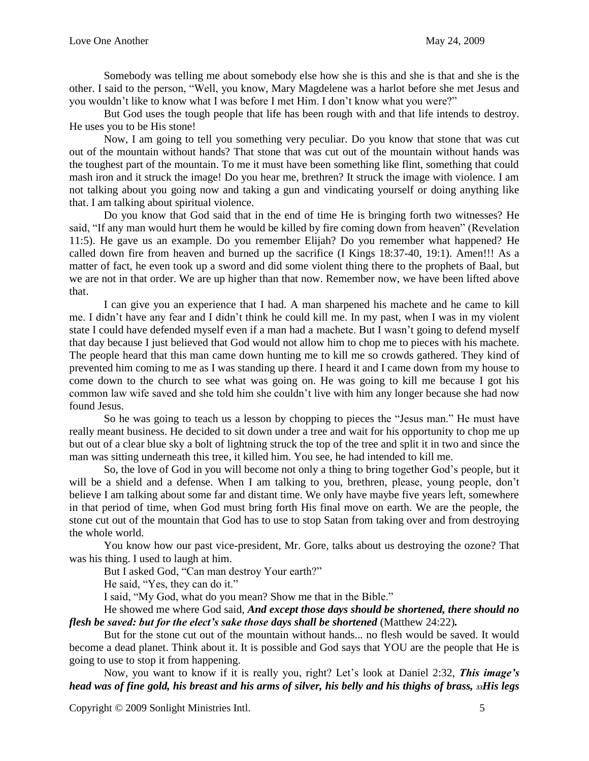Somebody was telling me about somebody else how she is this and she is that and she is the other. I said to the person, "Well, you know, Mary Magdelene was a harlot before she met Jesus and you wouldn't like to know what I was before I met Him. I don't know what you were?"

But God uses the tough people that life has been rough with and that life intends to destroy. He uses you to be His stone!

Now, I am going to tell you something very peculiar. Do you know that stone that was cut out of the mountain without hands? That stone that was cut out of the mountain without hands was the toughest part of the mountain. To me it must have been something like flint, something that could mash iron and it struck the image! Do you hear me, brethren? It struck the image with violence. I am not talking about you going now and taking a gun and vindicating yourself or doing anything like that. I am talking about spiritual violence.

Do you know that God said that in the end of time He is bringing forth two witnesses? He said, "If any man would hurt them he would be killed by fire coming down from heaven" (Revelation 11:5). He gave us an example. Do you remember Elijah? Do you remember what happened? He called down fire from heaven and burned up the sacrifice (I Kings 18:37-40, 19:1). Amen!!! As a matter of fact, he even took up a sword and did some violent thing there to the prophets of Baal, but we are not in that order. We are up higher than that now. Remember now, we have been lifted above that.

I can give you an experience that I had. A man sharpened his machete and he came to kill me. I didn't have any fear and I didn't think he could kill me. In my past, when I was in my violent state I could have defended myself even if a man had a machete. But I wasn't going to defend myself that day because I just believed that God would not allow him to chop me to pieces with his machete. The people heard that this man came down hunting me to kill me so crowds gathered. They kind of prevented him coming to me as I was standing up there. I heard it and I came down from my house to come down to the church to see what was going on. He was going to kill me because I got his common law wife saved and she told him she couldn't live with him any longer because she had now found Jesus.

So he was going to teach us a lesson by chopping to pieces the "Jesus man." He must have really meant business. He decided to sit down under a tree and wait for his opportunity to chop me up but out of a clear blue sky a bolt of lightning struck the top of the tree and split it in two and since the man was sitting underneath this tree, it killed him. You see, he had intended to kill me.

So, the love of God in you will become not only a thing to bring together God's people, but it will be a shield and a defense. When I am talking to you, brethren, please, young people, don't believe I am talking about some far and distant time. We only have maybe five years left, somewhere in that period of time, when God must bring forth His final move on earth. We are the people, the stone cut out of the mountain that God has to use to stop Satan from taking over and from destroying the whole world.

You know how our past vice-president, Mr. Gore, talks about us destroying the ozone? That was his thing. I used to laugh at him.

But I asked God, "Can man destroy Your earth?"

He said, "Yes, they can do it."

I said, "My God, what do you mean? Show me that in the Bible."

He showed me where God said, *And except those days should be shortened, there should no flesh be saved: but for the elect's sake those days shall be shortened* (Matthew 24:22)*.*

But for the stone cut out of the mountain without hands... no flesh would be saved. It would become a dead planet. Think about it. It is possible and God says that YOU are the people that He is going to use to stop it from happening.

Now, you want to know if it is really you, right? Let's look at Daniel 2:32, *This image's head was of fine gold, his breast and his arms of silver, his belly and his thighs of brass, 33His legs* 

Copyright © 2009 Sonlight Ministries Intl. 5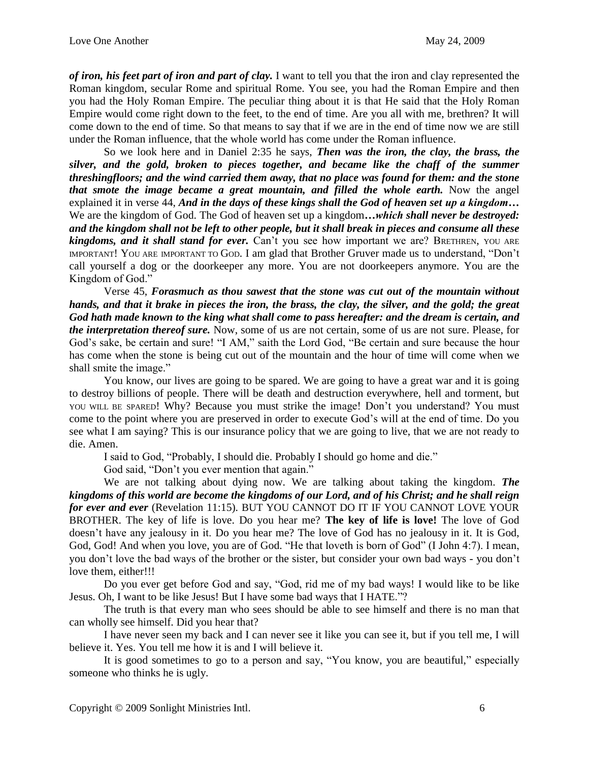*of iron, his feet part of iron and part of clay.* I want to tell you that the iron and clay represented the Roman kingdom, secular Rome and spiritual Rome. You see, you had the Roman Empire and then you had the Holy Roman Empire. The peculiar thing about it is that He said that the Holy Roman Empire would come right down to the feet, to the end of time. Are you all with me, brethren? It will come down to the end of time. So that means to say that if we are in the end of time now we are still under the Roman influence, that the whole world has come under the Roman influence.

So we look here and in Daniel 2:35 he says, *Then was the iron, the clay, the brass, the silver, and the gold, broken to pieces together, and became like the chaff of the summer threshingfloors; and the wind carried them away, that no place was found for them: and the stone that smote the image became a great mountain, and filled the whole earth.* Now the angel explained it in verse 44, *And in the days of these kings shall the God of heaven set up a kingdom…*  We are the kingdom of God. The God of heaven set up a kingdom*…which shall never be destroyed: and the kingdom shall not be left to other people, but it shall break in pieces and consume all these kingdoms, and it shall stand for ever.* Can't you see how important we are? BRETHREN, YOU ARE IMPORTANT! YOU ARE IMPORTANT TO GOD. I am glad that Brother Gruver made us to understand, "Don't call yourself a dog or the doorkeeper any more. You are not doorkeepers anymore. You are the Kingdom of God."

Verse 45, *Forasmuch as thou sawest that the stone was cut out of the mountain without hands, and that it brake in pieces the iron, the brass, the clay, the silver, and the gold; the great God hath made known to the king what shall come to pass hereafter: and the dream is certain, and the interpretation thereof sure.* Now, some of us are not certain, some of us are not sure. Please, for God's sake, be certain and sure! "I AM," saith the Lord God, "Be certain and sure because the hour has come when the stone is being cut out of the mountain and the hour of time will come when we shall smite the image."

You know, our lives are going to be spared. We are going to have a great war and it is going to destroy billions of people. There will be death and destruction everywhere, hell and torment, but YOU WILL BE SPARED! Why? Because you must strike the image! Don't you understand? You must come to the point where you are preserved in order to execute God's will at the end of time. Do you see what I am saying? This is our insurance policy that we are going to live, that we are not ready to die. Amen.

I said to God, "Probably, I should die. Probably I should go home and die."

God said, "Don't you ever mention that again."

We are not talking about dying now. We are talking about taking the kingdom. *The kingdoms of this world are become the kingdoms of our Lord, and of his Christ; and he shall reign for ever and ever* (Revelation 11:15)*.* BUT YOU CANNOT DO IT IF YOU CANNOT LOVE YOUR BROTHER. The key of life is love. Do you hear me? **The key of life is love!** The love of God doesn't have any jealousy in it. Do you hear me? The love of God has no jealousy in it. It is God, God, God! And when you love, you are of God. "He that loveth is born of God" (I John 4:7). I mean, you don't love the bad ways of the brother or the sister, but consider your own bad ways - you don't love them, either!!!

Do you ever get before God and say, "God, rid me of my bad ways! I would like to be like Jesus. Oh, I want to be like Jesus! But I have some bad ways that I HATE."?

The truth is that every man who sees should be able to see himself and there is no man that can wholly see himself. Did you hear that?

I have never seen my back and I can never see it like you can see it, but if you tell me, I will believe it. Yes. You tell me how it is and I will believe it.

It is good sometimes to go to a person and say, "You know, you are beautiful," especially someone who thinks he is ugly.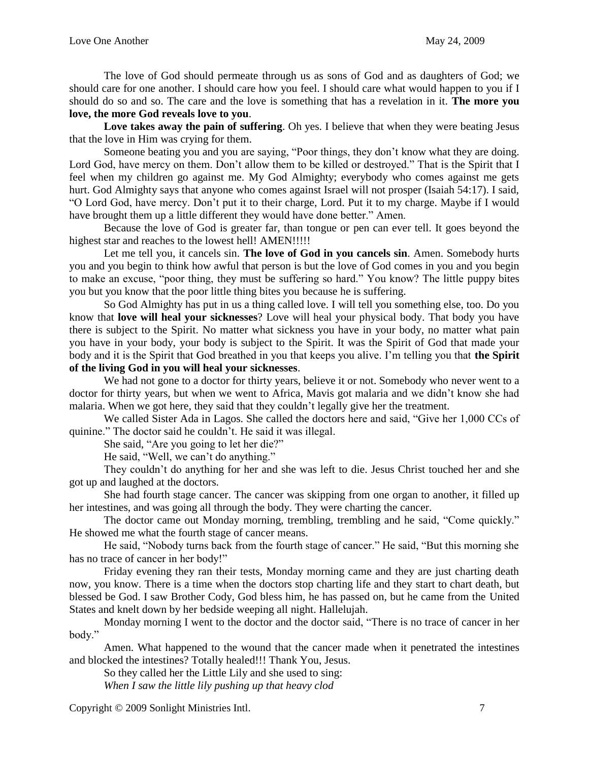The love of God should permeate through us as sons of God and as daughters of God; we should care for one another. I should care how you feel. I should care what would happen to you if I should do so and so. The care and the love is something that has a revelation in it. **The more you love, the more God reveals love to you**.

**Love takes away the pain of suffering**. Oh yes. I believe that when they were beating Jesus that the love in Him was crying for them.

Someone beating you and you are saying, "Poor things, they don't know what they are doing. Lord God, have mercy on them. Don't allow them to be killed or destroyed." That is the Spirit that I feel when my children go against me. My God Almighty; everybody who comes against me gets hurt. God Almighty says that anyone who comes against Israel will not prosper (Isaiah 54:17). I said, "O Lord God, have mercy. Don't put it to their charge, Lord. Put it to my charge. Maybe if I would have brought them up a little different they would have done better." Amen.

Because the love of God is greater far, than tongue or pen can ever tell. It goes beyond the highest star and reaches to the lowest hell! AMEN!!!!!

Let me tell you, it cancels sin. **The love of God in you cancels sin**. Amen. Somebody hurts you and you begin to think how awful that person is but the love of God comes in you and you begin to make an excuse, "poor thing, they must be suffering so hard." You know? The little puppy bites you but you know that the poor little thing bites you because he is suffering.

So God Almighty has put in us a thing called love. I will tell you something else, too. Do you know that **love will heal your sicknesses**? Love will heal your physical body. That body you have there is subject to the Spirit. No matter what sickness you have in your body, no matter what pain you have in your body, your body is subject to the Spirit. It was the Spirit of God that made your body and it is the Spirit that God breathed in you that keeps you alive. I'm telling you that **the Spirit of the living God in you will heal your sicknesses**.

We had not gone to a doctor for thirty years, believe it or not. Somebody who never went to a doctor for thirty years, but when we went to Africa, Mavis got malaria and we didn't know she had malaria. When we got here, they said that they couldn't legally give her the treatment.

We called Sister Ada in Lagos. She called the doctors here and said, "Give her 1,000 CCs of quinine." The doctor said he couldn't. He said it was illegal.

She said, "Are you going to let her die?"

He said, "Well, we can't do anything."

They couldn't do anything for her and she was left to die. Jesus Christ touched her and she got up and laughed at the doctors.

She had fourth stage cancer. The cancer was skipping from one organ to another, it filled up her intestines, and was going all through the body. They were charting the cancer.

The doctor came out Monday morning, trembling, trembling and he said, "Come quickly." He showed me what the fourth stage of cancer means.

He said, "Nobody turns back from the fourth stage of cancer." He said, "But this morning she has no trace of cancer in her body!"

Friday evening they ran their tests, Monday morning came and they are just charting death now, you know. There is a time when the doctors stop charting life and they start to chart death, but blessed be God. I saw Brother Cody, God bless him, he has passed on, but he came from the United States and knelt down by her bedside weeping all night. Hallelujah.

Monday morning I went to the doctor and the doctor said, "There is no trace of cancer in her body."

Amen. What happened to the wound that the cancer made when it penetrated the intestines and blocked the intestines? Totally healed!!! Thank You, Jesus.

So they called her the Little Lily and she used to sing: *When I saw the little lily pushing up that heavy clod*

Copyright © 2009 Sonlight Ministries Intl. 7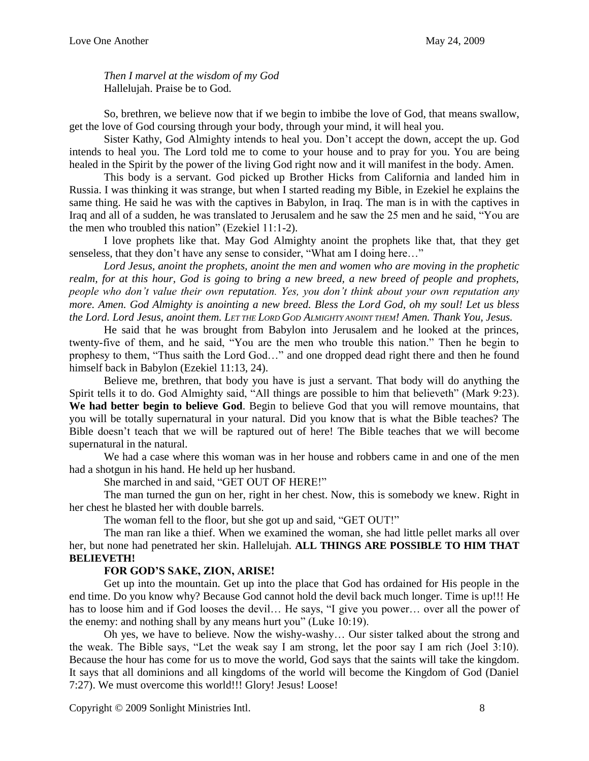*Then I marvel at the wisdom of my God* Hallelujah. Praise be to God.

So, brethren, we believe now that if we begin to imbibe the love of God, that means swallow, get the love of God coursing through your body, through your mind, it will heal you.

Sister Kathy, God Almighty intends to heal you. Don't accept the down, accept the up. God intends to heal you. The Lord told me to come to your house and to pray for you. You are being healed in the Spirit by the power of the living God right now and it will manifest in the body. Amen.

This body is a servant. God picked up Brother Hicks from California and landed him in Russia. I was thinking it was strange, but when I started reading my Bible, in Ezekiel he explains the same thing. He said he was with the captives in Babylon, in Iraq. The man is in with the captives in Iraq and all of a sudden, he was translated to Jerusalem and he saw the 25 men and he said, "You are the men who troubled this nation" (Ezekiel 11:1-2).

I love prophets like that. May God Almighty anoint the prophets like that, that they get senseless, that they don't have any sense to consider, "What am I doing here..."

*Lord Jesus, anoint the prophets, anoint the men and women who are moving in the prophetic realm, for at this hour, God is going to bring a new breed, a new breed of people and prophets, people who don't value their own reputation. Yes, you don't think about your own reputation any more. Amen. God Almighty is anointing a new breed. Bless the Lord God, oh my soul! Let us bless the Lord. Lord Jesus, anoint them. LET THE LORD GOD ALMIGHTY ANOINT THEM! Amen. Thank You, Jesus.*

He said that he was brought from Babylon into Jerusalem and he looked at the princes, twenty-five of them, and he said, "You are the men who trouble this nation." Then he begin to prophesy to them, "Thus saith the Lord God…" and one dropped dead right there and then he found himself back in Babylon (Ezekiel 11:13, 24).

Believe me, brethren, that body you have is just a servant. That body will do anything the Spirit tells it to do. God Almighty said, "All things are possible to him that believeth" (Mark 9:23). **We had better begin to believe God**. Begin to believe God that you will remove mountains, that you will be totally supernatural in your natural. Did you know that is what the Bible teaches? The Bible doesn't teach that we will be raptured out of here! The Bible teaches that we will become supernatural in the natural.

We had a case where this woman was in her house and robbers came in and one of the men had a shotgun in his hand. He held up her husband.

She marched in and said, "GET OUT OF HERE!"

The man turned the gun on her, right in her chest. Now, this is somebody we knew. Right in her chest he blasted her with double barrels.

The woman fell to the floor, but she got up and said, "GET OUT!"

The man ran like a thief. When we examined the woman, she had little pellet marks all over her, but none had penetrated her skin. Hallelujah. **ALL THINGS ARE POSSIBLE TO HIM THAT BELIEVETH!**

## **FOR GOD'S SAKE, ZION, ARISE!**

Get up into the mountain. Get up into the place that God has ordained for His people in the end time. Do you know why? Because God cannot hold the devil back much longer. Time is up!!! He has to loose him and if God looses the devil... He says, "I give you power... over all the power of the enemy: and nothing shall by any means hurt you" (Luke 10:19).

Oh yes, we have to believe. Now the wishy-washy… Our sister talked about the strong and the weak. The Bible says, "Let the weak say I am strong, let the poor say I am rich (Joel 3:10). Because the hour has come for us to move the world, God says that the saints will take the kingdom. It says that all dominions and all kingdoms of the world will become the Kingdom of God (Daniel 7:27). We must overcome this world!!! Glory! Jesus! Loose!